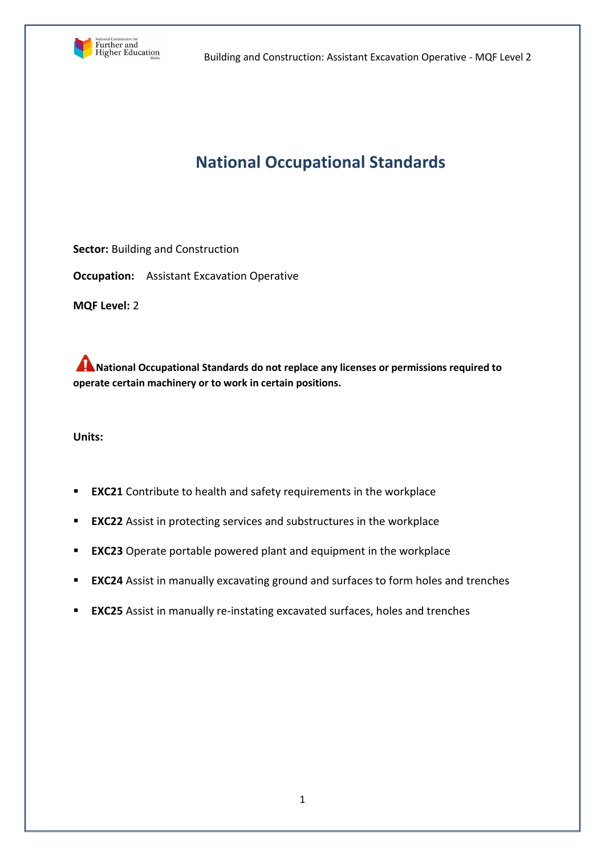

# **National Occupational Standards**

**Sector:** Building and Construction

**Occupation:** Assistant Excavation Operative

**MQF Level:** 2

**National Occupational Standards do not replace any licenses or permissions required to operate certain machinery or to work in certain positions.**

**Units:** 

- **EXC21** Contribute to health and safety requirements in the workplace
- **EXC22** Assist in protecting services and substructures in the workplace
- **EXC23** Operate portable powered plant and equipment in the workplace
- **EXC24** Assist in manually excavating ground and surfaces to form holes and trenches
- **EXC25** Assist in manually re-instating excavated surfaces, holes and trenches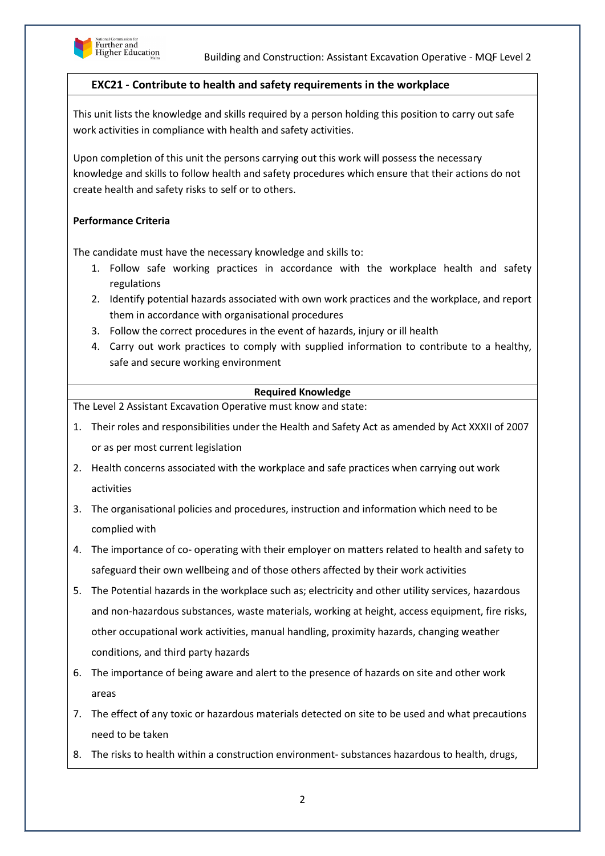

# **EXC21 - Contribute to health and safety requirements in the workplace**

This unit lists the knowledge and skills required by a person holding this position to carry out safe work activities in compliance with health and safety activities.

Upon completion of this unit the persons carrying out this work will possess the necessary knowledge and skills to follow health and safety procedures which ensure that their actions do not create health and safety risks to self or to others.

## **Performance Criteria**

The candidate must have the necessary knowledge and skills to:

- 1. Follow safe working practices in accordance with the workplace health and safety regulations
- 2. Identify potential hazards associated with own work practices and the workplace, and report them in accordance with organisational procedures
- 3. Follow the correct procedures in the event of hazards, injury or ill health
- 4. Carry out work practices to comply with supplied information to contribute to a healthy, safe and secure working environment

## **Required Knowledge**

- 1. Their roles and responsibilities under the Health and Safety Act as amended by Act XXXII of 2007 or as per most current legislation
- 2. Health concerns associated with the workplace and safe practices when carrying out work activities
- 3. The organisational policies and procedures, instruction and information which need to be complied with
- 4. The importance of co- operating with their employer on matters related to health and safety to safeguard their own wellbeing and of those others affected by their work activities
- 5. The Potential hazards in the workplace such as; electricity and other utility services, hazardous and non-hazardous substances, waste materials, working at height, access equipment, fire risks, other occupational work activities, manual handling, proximity hazards, changing weather conditions, and third party hazards
- 6. The importance of being aware and alert to the presence of hazards on site and other work areas
- 7. The effect of any toxic or hazardous materials detected on site to be used and what precautions need to be taken
- 8. The risks to health within a construction environment- substances hazardous to health, drugs,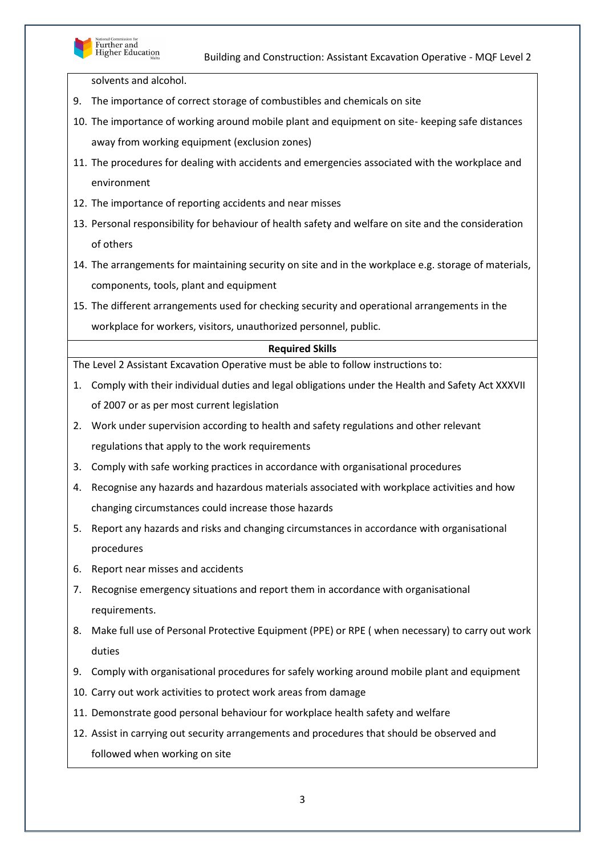

solvents and alcohol.

- 9. The importance of correct storage of combustibles and chemicals on site
- 10. The importance of working around mobile plant and equipment on site- keeping safe distances away from working equipment (exclusion zones)
- 11. The procedures for dealing with accidents and emergencies associated with the workplace and environment
- 12. The importance of reporting accidents and near misses
- 13. Personal responsibility for behaviour of health safety and welfare on site and the consideration of others
- 14. The arrangements for maintaining security on site and in the workplace e.g. storage of materials, components, tools, plant and equipment
- 15. The different arrangements used for checking security and operational arrangements in the workplace for workers, visitors, unauthorized personnel, public.

#### **Required Skills**

- 1. Comply with their individual duties and legal obligations under the Health and Safety Act XXXVII of 2007 or as per most current legislation
- 2. Work under supervision according to health and safety regulations and other relevant regulations that apply to the work requirements
- 3. Comply with safe working practices in accordance with organisational procedures
- 4. Recognise any hazards and hazardous materials associated with workplace activities and how changing circumstances could increase those hazards
- 5. Report any hazards and risks and changing circumstances in accordance with organisational procedures
- 6. Report near misses and accidents
- 7. Recognise emergency situations and report them in accordance with organisational requirements.
- 8. Make full use of Personal Protective Equipment (PPE) or RPE ( when necessary) to carry out work duties
- 9. Comply with organisational procedures for safely working around mobile plant and equipment
- 10. Carry out work activities to protect work areas from damage
- 11. Demonstrate good personal behaviour for workplace health safety and welfare
- 12. Assist in carrying out security arrangements and procedures that should be observed and followed when working on site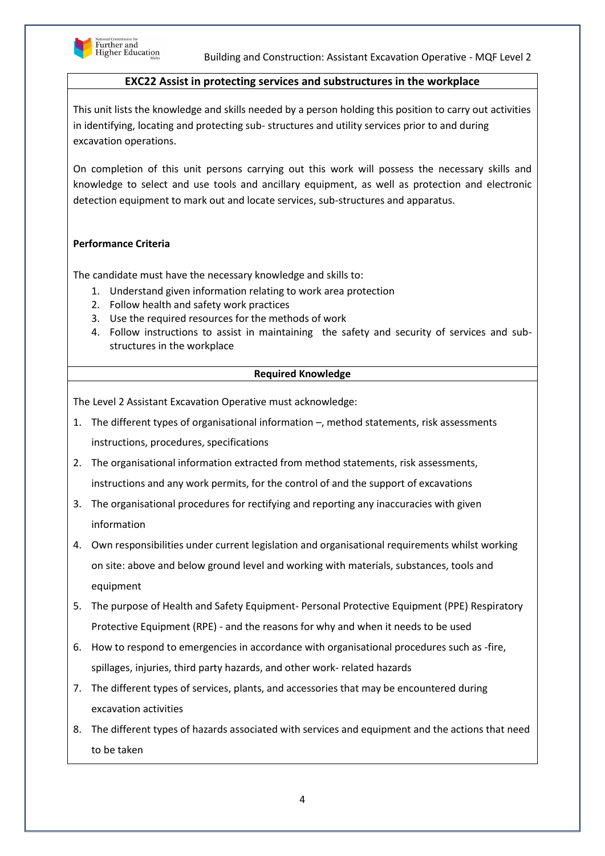

## **EXC22 Assist in protecting services and substructures in the workplace**

This unit lists the knowledge and skills needed by a person holding this position to carry out activities in identifying, locating and protecting sub- structures and utility services prior to and during excavation operations.

On completion of this unit persons carrying out this work will possess the necessary skills and knowledge to select and use tools and ancillary equipment, as well as protection and electronic detection equipment to mark out and locate services, sub-structures and apparatus.

## **Performance Criteria**

The candidate must have the necessary knowledge and skills to:

- 1. Understand given information relating to work area protection
- 2. Follow health and safety work practices
- 3. Use the required resources for the methods of work
- 4. Follow instructions to assist in maintaining the safety and security of services and substructures in the workplace

#### **Required Knowledge**

The Level 2 Assistant Excavation Operative must acknowledge:

- 1. The different types of organisational information –, method statements, risk assessments instructions, procedures, specifications
- 2. The organisational information extracted from method statements, risk assessments, instructions and any work permits, for the control of and the support of excavations
- 3. The organisational procedures for rectifying and reporting any inaccuracies with given information
- 4. Own responsibilities under current legislation and organisational requirements whilst working on site: above and below ground level and working with materials, substances, tools and equipment
- 5. The purpose of Health and Safety Equipment- Personal Protective Equipment (PPE) Respiratory Protective Equipment (RPE) - and the reasons for why and when it needs to be used
- 6. How to respond to emergencies in accordance with organisational procedures such as -fire, spillages, injuries, third party hazards, and other work- related hazards
- 7. The different types of services, plants, and accessories that may be encountered during excavation activities
- 8. The different types of hazards associated with services and equipment and the actions that need to be taken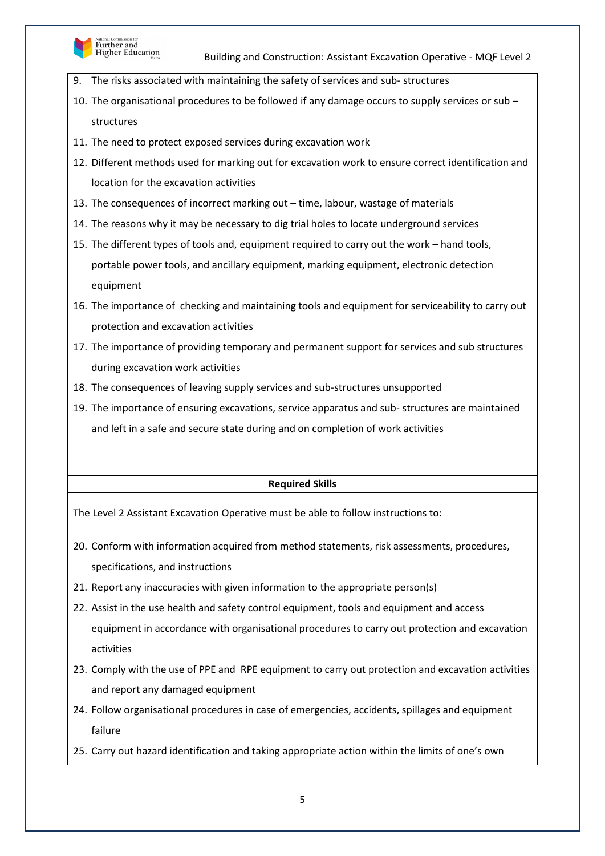

- 9. The risks associated with maintaining the safety of services and sub- structures
- 10. The organisational procedures to be followed if any damage occurs to supply services or sub structures
- 11. The need to protect exposed services during excavation work
- 12. Different methods used for marking out for excavation work to ensure correct identification and location for the excavation activities
- 13. The consequences of incorrect marking out time, labour, wastage of materials
- 14. The reasons why it may be necessary to dig trial holes to locate underground services
- 15. The different types of tools and, equipment required to carry out the work hand tools, portable power tools, and ancillary equipment, marking equipment, electronic detection equipment
- 16. The importance of checking and maintaining tools and equipment for serviceability to carry out protection and excavation activities
- 17. The importance of providing temporary and permanent support for services and sub structures during excavation work activities
- 18. The consequences of leaving supply services and sub-structures unsupported
- 19. The importance of ensuring excavations, service apparatus and sub- structures are maintained and left in a safe and secure state during and on completion of work activities

#### **Required Skills**

- 20. Conform with information acquired from method statements, risk assessments, procedures, specifications, and instructions
- 21. Report any inaccuracies with given information to the appropriate person(s)
- 22. Assist in the use health and safety control equipment, tools and equipment and access equipment in accordance with organisational procedures to carry out protection and excavation activities
- 23. Comply with the use of PPE and RPE equipment to carry out protection and excavation activities and report any damaged equipment
- 24. Follow organisational procedures in case of emergencies, accidents, spillages and equipment failure
- 25. Carry out hazard identification and taking appropriate action within the limits of one's own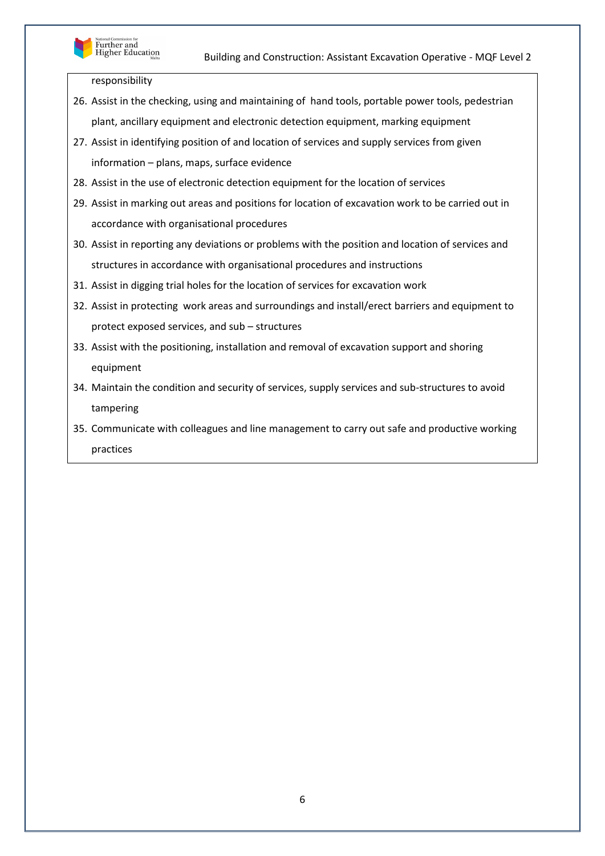

responsibility

- 26. Assist in the checking, using and maintaining of hand tools, portable power tools, pedestrian plant, ancillary equipment and electronic detection equipment, marking equipment
- 27. Assist in identifying position of and location of services and supply services from given information – plans, maps, surface evidence
- 28. Assist in the use of electronic detection equipment for the location of services
- 29. Assist in marking out areas and positions for location of excavation work to be carried out in accordance with organisational procedures
- 30. Assist in reporting any deviations or problems with the position and location of services and structures in accordance with organisational procedures and instructions
- 31. Assist in digging trial holes for the location of services for excavation work
- 32. Assist in protecting work areas and surroundings and install/erect barriers and equipment to protect exposed services, and sub – structures
- 33. Assist with the positioning, installation and removal of excavation support and shoring equipment
- 34. Maintain the condition and security of services, supply services and sub-structures to avoid tampering
- 35. Communicate with colleagues and line management to carry out safe and productive working practices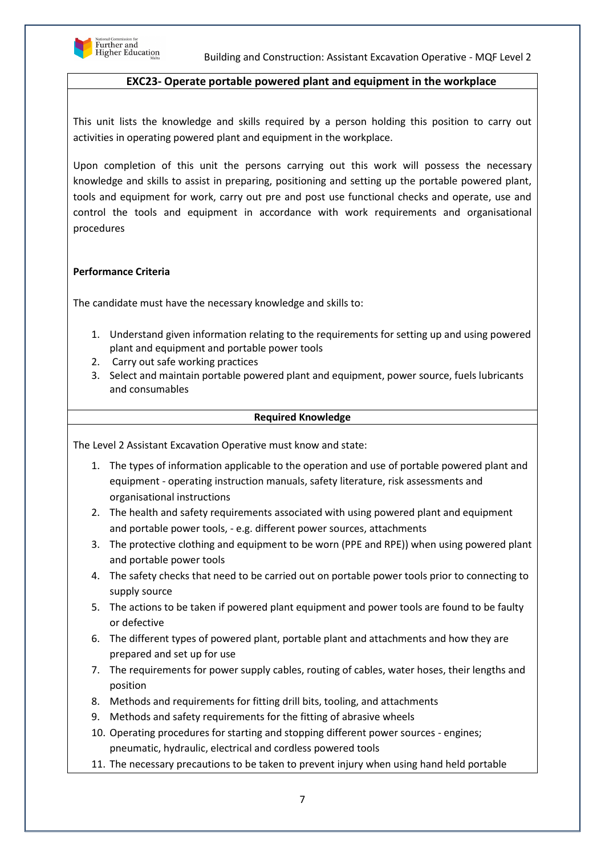

## **EXC23- Operate portable powered plant and equipment in the workplace**

This unit lists the knowledge and skills required by a person holding this position to carry out activities in operating powered plant and equipment in the workplace.

Upon completion of this unit the persons carrying out this work will possess the necessary knowledge and skills to assist in preparing, positioning and setting up the portable powered plant, tools and equipment for work, carry out pre and post use functional checks and operate, use and control the tools and equipment in accordance with work requirements and organisational procedures

#### **Performance Criteria**

The candidate must have the necessary knowledge and skills to:

- 1. Understand given information relating to the requirements for setting up and using powered plant and equipment and portable power tools
- 2. Carry out safe working practices
- 3. Select and maintain portable powered plant and equipment, power source, fuels lubricants and consumables

#### **Required Knowledge**

- 1. The types of information applicable to the operation and use of portable powered plant and equipment - operating instruction manuals, safety literature, risk assessments and organisational instructions
- 2. The health and safety requirements associated with using powered plant and equipment and portable power tools, - e.g. different power sources, attachments
- 3. The protective clothing and equipment to be worn (PPE and RPE)) when using powered plant and portable power tools
- 4. The safety checks that need to be carried out on portable power tools prior to connecting to supply source
- 5. The actions to be taken if powered plant equipment and power tools are found to be faulty or defective
- 6. The different types of powered plant, portable plant and attachments and how they are prepared and set up for use
- 7. The requirements for power supply cables, routing of cables, water hoses, their lengths and position
- 8. Methods and requirements for fitting drill bits, tooling, and attachments
- 9. Methods and safety requirements for the fitting of abrasive wheels
- 10. Operating procedures for starting and stopping different power sources engines; pneumatic, hydraulic, electrical and cordless powered tools
- 11. The necessary precautions to be taken to prevent injury when using hand held portable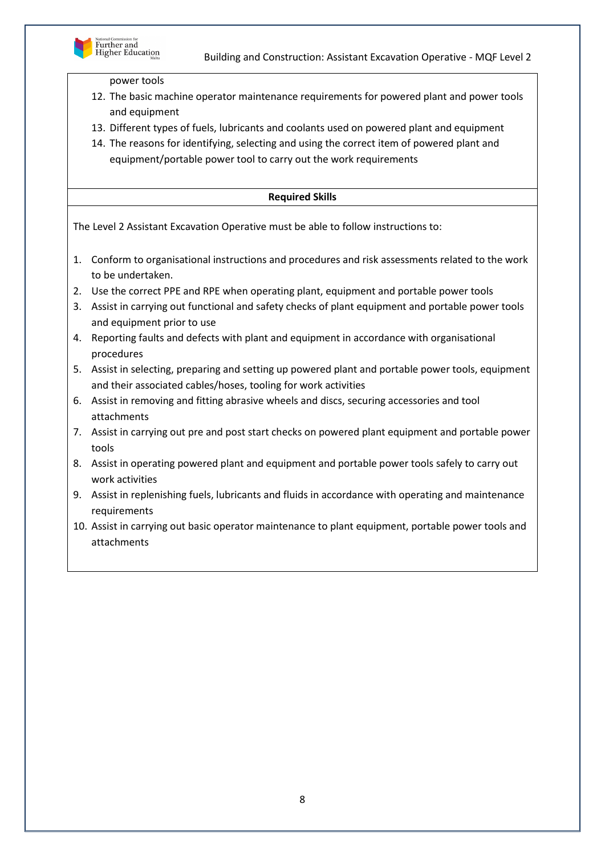

power tools

- 12. The basic machine operator maintenance requirements for powered plant and power tools and equipment
- 13. Different types of fuels, lubricants and coolants used on powered plant and equipment
- 14. The reasons for identifying, selecting and using the correct item of powered plant and equipment/portable power tool to carry out the work requirements

## **Required Skills**

- 1. Conform to organisational instructions and procedures and risk assessments related to the work to be undertaken.
- 2. Use the correct PPE and RPE when operating plant, equipment and portable power tools
- 3. Assist in carrying out functional and safety checks of plant equipment and portable power tools and equipment prior to use
- 4. Reporting faults and defects with plant and equipment in accordance with organisational procedures
- 5. Assist in selecting, preparing and setting up powered plant and portable power tools, equipment and their associated cables/hoses, tooling for work activities
- 6. Assist in removing and fitting abrasive wheels and discs, securing accessories and tool attachments
- 7. Assist in carrying out pre and post start checks on powered plant equipment and portable power tools
- 8. Assist in operating powered plant and equipment and portable power tools safely to carry out work activities
- 9. Assist in replenishing fuels, lubricants and fluids in accordance with operating and maintenance requirements
- 10. Assist in carrying out basic operator maintenance to plant equipment, portable power tools and attachments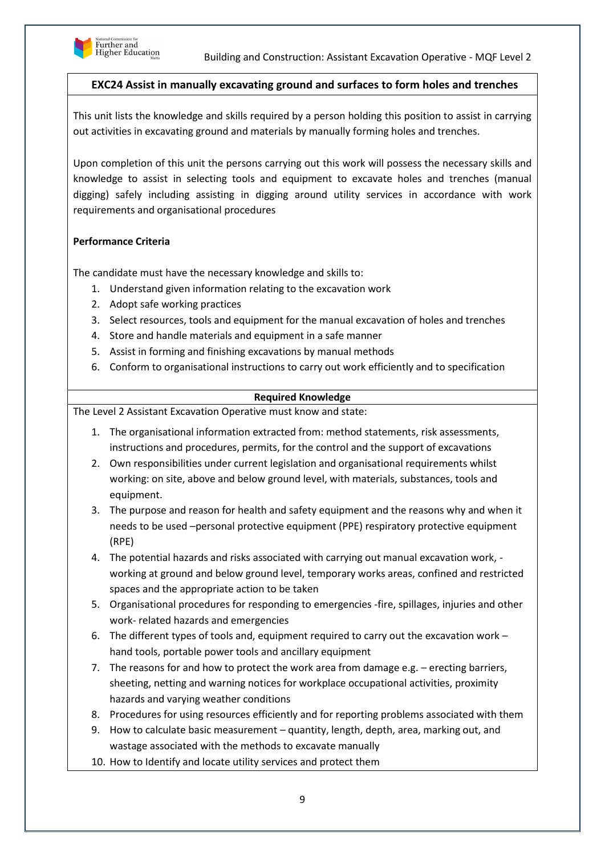

## **EXC24 Assist in manually excavating ground and surfaces to form holes and trenches**

This unit lists the knowledge and skills required by a person holding this position to assist in carrying out activities in excavating ground and materials by manually forming holes and trenches.

Upon completion of this unit the persons carrying out this work will possess the necessary skills and knowledge to assist in selecting tools and equipment to excavate holes and trenches (manual digging) safely including assisting in digging around utility services in accordance with work requirements and organisational procedures

## **Performance Criteria**

The candidate must have the necessary knowledge and skills to:

- 1. Understand given information relating to the excavation work
- 2. Adopt safe working practices
- 3. Select resources, tools and equipment for the manual excavation of holes and trenches
- 4. Store and handle materials and equipment in a safe manner
- 5. Assist in forming and finishing excavations by manual methods
- 6. Conform to organisational instructions to carry out work efficiently and to specification

## **Required Knowledge**

- 1. The organisational information extracted from: method statements, risk assessments, instructions and procedures, permits, for the control and the support of excavations
- 2. Own responsibilities under current legislation and organisational requirements whilst working: on site, above and below ground level, with materials, substances, tools and equipment.
- 3. The purpose and reason for health and safety equipment and the reasons why and when it needs to be used –personal protective equipment (PPE) respiratory protective equipment (RPE)
- 4. The potential hazards and risks associated with carrying out manual excavation work, working at ground and below ground level, temporary works areas, confined and restricted spaces and the appropriate action to be taken
- 5. Organisational procedures for responding to emergencies -fire, spillages, injuries and other work- related hazards and emergencies
- 6. The different types of tools and, equipment required to carry out the excavation work hand tools, portable power tools and ancillary equipment
- 7. The reasons for and how to protect the work area from damage e.g.  $-$  erecting barriers, sheeting, netting and warning notices for workplace occupational activities, proximity hazards and varying weather conditions
- 8. Procedures for using resources efficiently and for reporting problems associated with them
- 9. How to calculate basic measurement quantity, length, depth, area, marking out, and wastage associated with the methods to excavate manually
- 10. How to Identify and locate utility services and protect them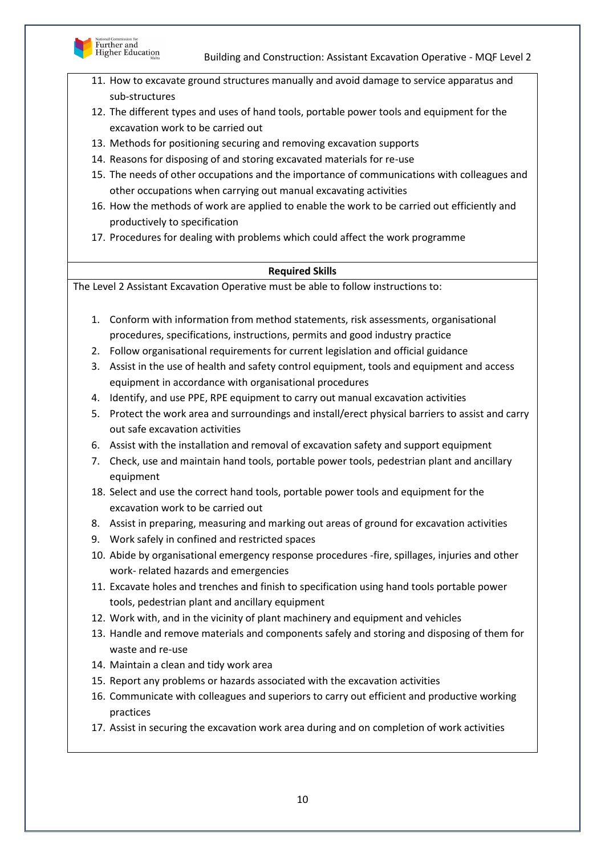

- 11. How to excavate ground structures manually and avoid damage to service apparatus and sub-structures
- 12. The different types and uses of hand tools, portable power tools and equipment for the excavation work to be carried out
- 13. Methods for positioning securing and removing excavation supports
- 14. Reasons for disposing of and storing excavated materials for re-use
- 15. The needs of other occupations and the importance of communications with colleagues and other occupations when carrying out manual excavating activities
- 16. How the methods of work are applied to enable the work to be carried out efficiently and productively to specification
- 17. Procedures for dealing with problems which could affect the work programme

## **Required Skills**

- 1. Conform with information from method statements, risk assessments, organisational procedures, specifications, instructions, permits and good industry practice
- 2. Follow organisational requirements for current legislation and official guidance
- 3. Assist in the use of health and safety control equipment, tools and equipment and access equipment in accordance with organisational procedures
- 4. Identify, and use PPE, RPE equipment to carry out manual excavation activities
- 5. Protect the work area and surroundings and install/erect physical barriers to assist and carry out safe excavation activities
- 6. Assist with the installation and removal of excavation safety and support equipment
- 7. Check, use and maintain hand tools, portable power tools, pedestrian plant and ancillary equipment
- 18. Select and use the correct hand tools, portable power tools and equipment for the excavation work to be carried out
- 8. Assist in preparing, measuring and marking out areas of ground for excavation activities
- 9. Work safely in confined and restricted spaces
- 10. Abide by organisational emergency response procedures -fire, spillages, injuries and other work- related hazards and emergencies
- 11. Excavate holes and trenches and finish to specification using hand tools portable power tools, pedestrian plant and ancillary equipment
- 12. Work with, and in the vicinity of plant machinery and equipment and vehicles
- 13. Handle and remove materials and components safely and storing and disposing of them for waste and re-use
- 14. Maintain a clean and tidy work area
- 15. Report any problems or hazards associated with the excavation activities
- 16. Communicate with colleagues and superiors to carry out efficient and productive working practices
- 17. Assist in securing the excavation work area during and on completion of work activities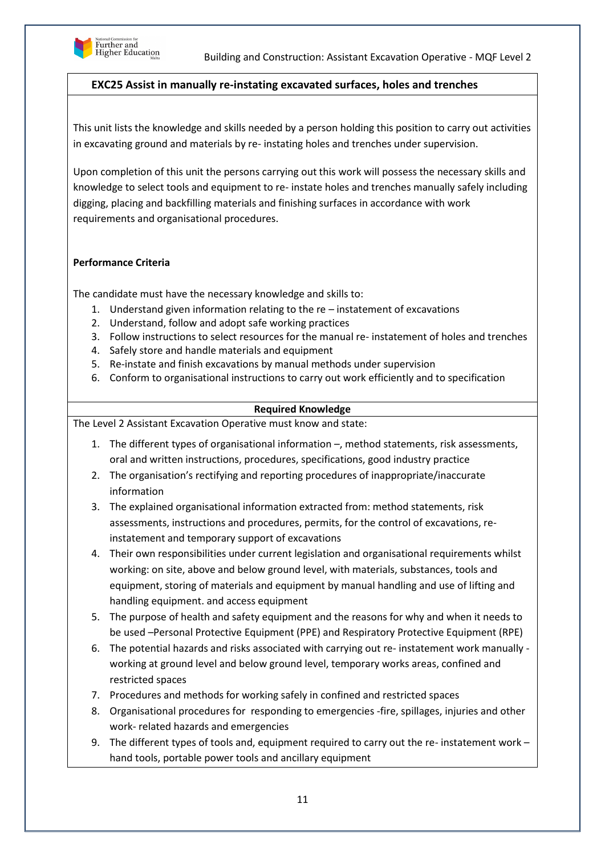

## **EXC25 Assist in manually re-instating excavated surfaces, holes and trenches**

This unit lists the knowledge and skills needed by a person holding this position to carry out activities in excavating ground and materials by re- instating holes and trenches under supervision.

Upon completion of this unit the persons carrying out this work will possess the necessary skills and knowledge to select tools and equipment to re- instate holes and trenches manually safely including digging, placing and backfilling materials and finishing surfaces in accordance with work requirements and organisational procedures.

## **Performance Criteria**

The candidate must have the necessary knowledge and skills to:

- 1. Understand given information relating to the re instatement of excavations
- 2. Understand, follow and adopt safe working practices
- 3. Follow instructions to select resources for the manual re- instatement of holes and trenches
- 4. Safely store and handle materials and equipment
- 5. Re-instate and finish excavations by manual methods under supervision
- 6. Conform to organisational instructions to carry out work efficiently and to specification

## **Required Knowledge**

- 1. The different types of organisational information –, method statements, risk assessments, oral and written instructions, procedures, specifications, good industry practice
- 2. The organisation's rectifying and reporting procedures of inappropriate/inaccurate information
- 3. The explained organisational information extracted from: method statements, risk assessments, instructions and procedures, permits, for the control of excavations, reinstatement and temporary support of excavations
- 4. Their own responsibilities under current legislation and organisational requirements whilst working: on site, above and below ground level, with materials, substances, tools and equipment, storing of materials and equipment by manual handling and use of lifting and handling equipment. and access equipment
- 5. The purpose of health and safety equipment and the reasons for why and when it needs to be used –Personal Protective Equipment (PPE) and Respiratory Protective Equipment (RPE)
- 6. The potential hazards and risks associated with carrying out re- instatement work manually working at ground level and below ground level, temporary works areas, confined and restricted spaces
- 7. Procedures and methods for working safely in confined and restricted spaces
- 8. Organisational procedures for responding to emergencies -fire, spillages, injuries and other work- related hazards and emergencies
- 9. The different types of tools and, equipment required to carry out the re- instatement work hand tools, portable power tools and ancillary equipment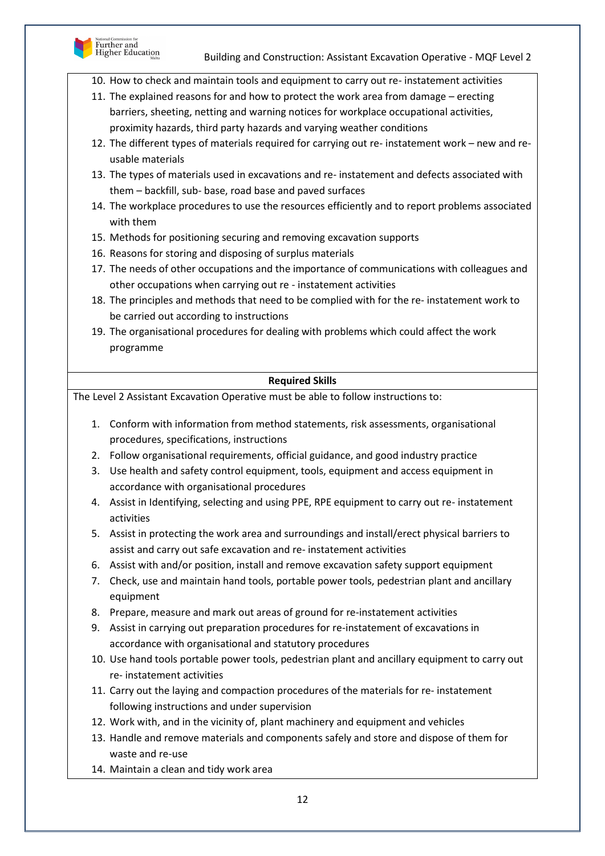

- 10. How to check and maintain tools and equipment to carry out re- instatement activities
- 11. The explained reasons for and how to protect the work area from damage erecting barriers, sheeting, netting and warning notices for workplace occupational activities, proximity hazards, third party hazards and varying weather conditions
- 12. The different types of materials required for carrying out re- instatement work new and reusable materials
- 13. The types of materials used in excavations and re- instatement and defects associated with them – backfill, sub- base, road base and paved surfaces
- 14. The workplace procedures to use the resources efficiently and to report problems associated with them
- 15. Methods for positioning securing and removing excavation supports
- 16. Reasons for storing and disposing of surplus materials
- 17. The needs of other occupations and the importance of communications with colleagues and other occupations when carrying out re - instatement activities
- 18. The principles and methods that need to be complied with for the re- instatement work to be carried out according to instructions
- 19. The organisational procedures for dealing with problems which could affect the work programme

## **Required Skills**

- 1. Conform with information from method statements, risk assessments, organisational procedures, specifications, instructions
- 2. Follow organisational requirements, official guidance, and good industry practice
- 3. Use health and safety control equipment, tools, equipment and access equipment in accordance with organisational procedures
- 4. Assist in Identifying, selecting and using PPE, RPE equipment to carry out re- instatement activities
- 5. Assist in protecting the work area and surroundings and install/erect physical barriers to assist and carry out safe excavation and re- instatement activities
- 6. Assist with and/or position, install and remove excavation safety support equipment
- 7. Check, use and maintain hand tools, portable power tools, pedestrian plant and ancillary equipment
- 8. Prepare, measure and mark out areas of ground for re-instatement activities
- 9. Assist in carrying out preparation procedures for re-instatement of excavations in accordance with organisational and statutory procedures
- 10. Use hand tools portable power tools, pedestrian plant and ancillary equipment to carry out re- instatement activities
- 11. Carry out the laying and compaction procedures of the materials for re- instatement following instructions and under supervision
- 12. Work with, and in the vicinity of, plant machinery and equipment and vehicles
- 13. Handle and remove materials and components safely and store and dispose of them for waste and re-use
- 14. Maintain a clean and tidy work area